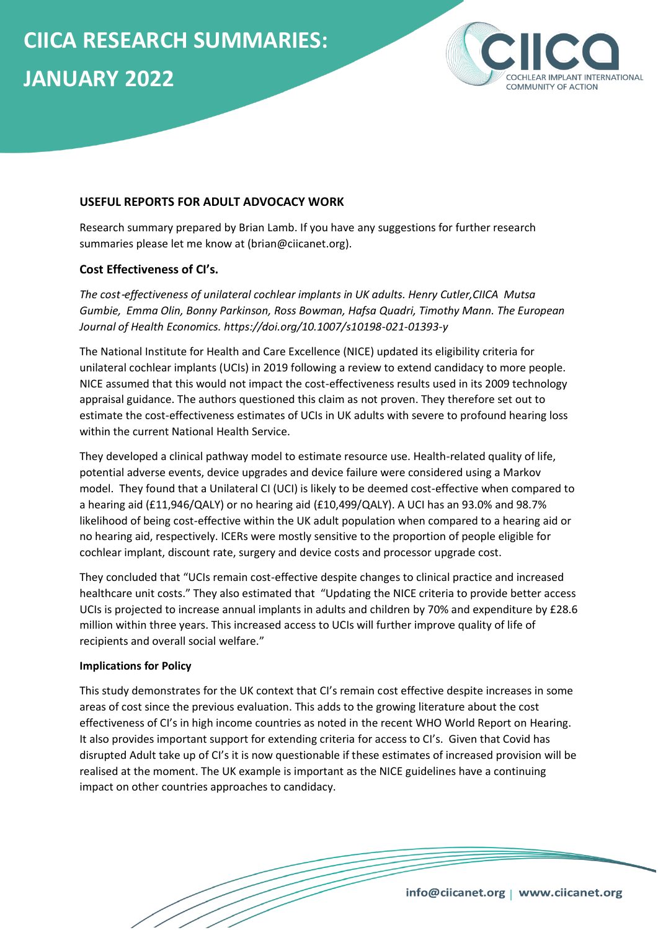

## **USEFUL REPORTS FOR ADULT ADVOCACY WORK**

Research summary prepared by Brian Lamb. If you have any suggestions for further research summaries please let me know at (brian@ciicanet.org).

#### **Cost Effectiveness of CI's.**

*The cost*‑*effectiveness of unilateral cochlear implants in UK adults. Henry Cutler,CIICA Mutsa Gumbie, Emma Olin, Bonny Parkinson, Ross Bowman, Hafsa Quadri, Timothy Mann. The European Journal of Health Economics. https://doi.org/10.1007/s10198-021-01393-y*

The National Institute for Health and Care Excellence (NICE) updated its eligibility criteria for unilateral cochlear implants (UCIs) in 2019 following a review to extend candidacy to more people. NICE assumed that this would not impact the cost-effectiveness results used in its 2009 technology appraisal guidance. The authors questioned this claim as not proven. They therefore set out to estimate the cost-effectiveness estimates of UCIs in UK adults with severe to profound hearing loss within the current National Health Service.

They developed a clinical pathway model to estimate resource use. Health-related quality of life, potential adverse events, device upgrades and device failure were considered using a Markov model. They found that a Unilateral CI (UCI) is likely to be deemed cost-effective when compared to a hearing aid (£11,946/QALY) or no hearing aid (£10,499/QALY). A UCI has an 93.0% and 98.7% likelihood of being cost-effective within the UK adult population when compared to a hearing aid or no hearing aid, respectively. ICERs were mostly sensitive to the proportion of people eligible for cochlear implant, discount rate, surgery and device costs and processor upgrade cost.

They concluded that "UCIs remain cost-effective despite changes to clinical practice and increased healthcare unit costs." They also estimated that "Updating the NICE criteria to provide better access UCIs is projected to increase annual implants in adults and children by 70% and expenditure by £28.6 million within three years. This increased access to UCIs will further improve quality of life of recipients and overall social welfare."

#### **Implications for Policy**

This study demonstrates for the UK context that CI's remain cost effective despite increases in some areas of cost since the previous evaluation. This adds to the growing literature about the cost effectiveness of CI's in high income countries as noted in the recent WHO World Report on Hearing. It also provides important support for extending criteria for access to CI's. Given that Covid has disrupted Adult take up of CI's it is now questionable if these estimates of increased provision will be realised at the moment. The UK example is important as the NICE guidelines have a continuing impact on other countries approaches to candidacy.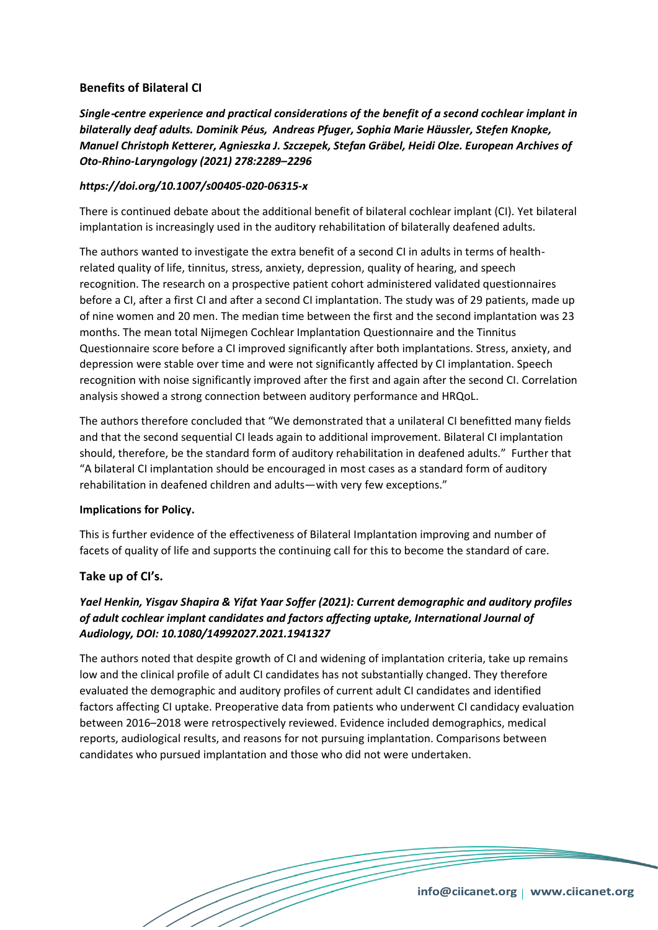## **Benefits of Bilateral CI**

*Single*‑*centre experience and practical considerations of the benefit of a second cochlear implant in bilaterally deaf adults. Dominik Péus, Andreas Pfuger, Sophia Marie Häussler, Stefen Knopke, Manuel Christoph Ketterer, Agnieszka J. Szczepek, Stefan Gräbel, Heidi Olze. European Archives of Oto-Rhino-Laryngology (2021) 278:2289–2296* 

### *https://doi.org/10.1007/s00405-020-06315-x*

There is continued debate about the additional benefit of bilateral cochlear implant (CI). Yet bilateral implantation is increasingly used in the auditory rehabilitation of bilaterally deafened adults.

The authors wanted to investigate the extra benefit of a second CI in adults in terms of healthrelated quality of life, tinnitus, stress, anxiety, depression, quality of hearing, and speech recognition. The research on a prospective patient cohort administered validated questionnaires before a CI, after a first CI and after a second CI implantation. The study was of 29 patients, made up of nine women and 20 men. The median time between the first and the second implantation was 23 months. The mean total Nijmegen Cochlear Implantation Questionnaire and the Tinnitus Questionnaire score before a CI improved significantly after both implantations. Stress, anxiety, and depression were stable over time and were not significantly affected by CI implantation. Speech recognition with noise significantly improved after the first and again after the second CI. Correlation analysis showed a strong connection between auditory performance and HRQoL.

The authors therefore concluded that "We demonstrated that a unilateral CI benefitted many fields and that the second sequential CI leads again to additional improvement. Bilateral CI implantation should, therefore, be the standard form of auditory rehabilitation in deafened adults." Further that "A bilateral CI implantation should be encouraged in most cases as a standard form of auditory rehabilitation in deafened children and adults—with very few exceptions."

#### **Implications for Policy.**

This is further evidence of the effectiveness of Bilateral Implantation improving and number of facets of quality of life and supports the continuing call for this to become the standard of care.

## **Take up of CI's.**

# *Yael Henkin, Yisgav Shapira & Yifat Yaar Soffer (2021): Current demographic and auditory profiles of adult cochlear implant candidates and factors affecting uptake, International Journal of Audiology, DOI: 10.1080/14992027.2021.1941327*

The authors noted that despite growth of CI and widening of implantation criteria, take up remains low and the clinical profile of adult CI candidates has not substantially changed. They therefore evaluated the demographic and auditory profiles of current adult CI candidates and identified factors affecting CI uptake. Preoperative data from patients who underwent CI candidacy evaluation between 2016–2018 were retrospectively reviewed. Evidence included demographics, medical reports, audiological results, and reasons for not pursuing implantation. Comparisons between candidates who pursued implantation and those who did not were undertaken.